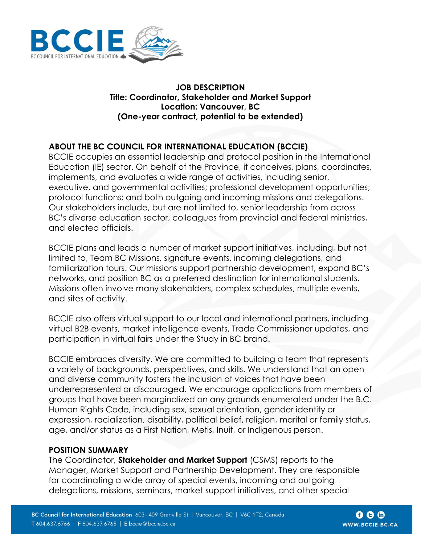

#### **JOB DESCRIPTION Title: Coordinator, Stakeholder and Market Support Location: Vancouver, BC (One-year contract, potential to be extended)**

# **ABOUT THE BC COUNCIL FOR INTERNATIONAL EDUCATION (BCCIE)**

BCCIE occupies an essential leadership and protocol position in the International Education (IE) sector. On behalf of the Province, it conceives, plans, coordinates, implements, and evaluates a wide range of activities, including senior, executive, and governmental activities; professional development opportunities; protocol functions; and both outgoing and incoming missions and delegations. Our stakeholders include, but are not limited to, senior leadership from across BC's diverse education sector, colleagues from provincial and federal ministries, and elected officials.

BCCIE plans and leads a number of market support initiatives, including, but not limited to, Team BC Missions, signature events, incoming delegations, and familiarization tours. Our missions support partnership development, expand BC's networks, and position BC as a preferred destination for international students. Missions often involve many stakeholders, complex schedules, multiple events, and sites of activity.

BCCIE also offers virtual support to our local and international partners, including virtual B2B events, market intelligence events, Trade Commissioner updates, and participation in virtual fairs under the Study in BC brand.

BCCIE embraces diversity. We are committed to building a team that represents a variety of backgrounds, perspectives, and skills. We understand that an open and diverse community fosters the inclusion of voices that have been underrepresented or discouraged. We encourage applications from members of groups that have been marginalized on any grounds enumerated under the B.C. Human Rights Code, including sex, sexual orientation, gender identity or expression, racialization, disability, political belief, religion, marital or family status, age, and/or status as a First Nation, Metis, Inuit, or Indigenous person.

### **POSITION SUMMARY**

The Coordinator, **Stakeholder and Market Support** (CSMS) reports to the Manager, Market Support and Partnership Development. They are responsible for coordinating a wide array of special events, incoming and outgoing delegations, missions, seminars, market support initiatives, and other special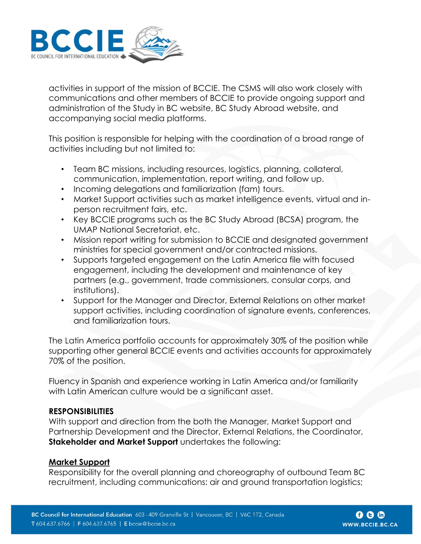

activities in support of the mission of BCCIE. The CSMS will also work closely with communications and other members of BCCIE to provide ongoing support and administration of the Study in BC website, BC Study Abroad website, and accompanying social media platforms.

This position is responsible for helping with the coordination of a broad range of activities including but not limited to:

- Team BC missions, including resources, logistics, planning, collateral, communication, implementation, report writing, and follow up.
- Incoming delegations and familiarization (fam) tours.
- Market Support activities such as market intelligence events, virtual and inperson recruitment fairs, etc.
- Key BCCIE programs such as the BC Study Abroad (BCSA) program, the UMAP National Secretariat, etc.
- Mission report writing for submission to BCCIE and designated government ministries for special government and/or contracted missions.
- Supports targeted engagement on the Latin America file with focused engagement, including the development and maintenance of key partners (e.g., government, trade commissioners, consular corps, and institutions).
- Support for the Manager and Director, External Relations on other market support activities, including coordination of signature events, conferences, and familiarization tours.

The Latin America portfolio accounts for approximately 30% of the position while supporting other general BCCIE events and activities accounts for approximately 70% of the position.

Fluency in Spanish and experience working in Latin America and/or familiarity with Latin American culture would be a significant asset.

#### **RESPONSIBILITIES**

With support and direction from the both the Manager, Market Support and Partnership Development and the Director, External Relations, the Coordinator, **Stakeholder and Market Support** undertakes the following:

### **Market Support**

Responsibility for the overall planning and choreography of outbound Team BC recruitment, including communications: air and ground transportation logistics;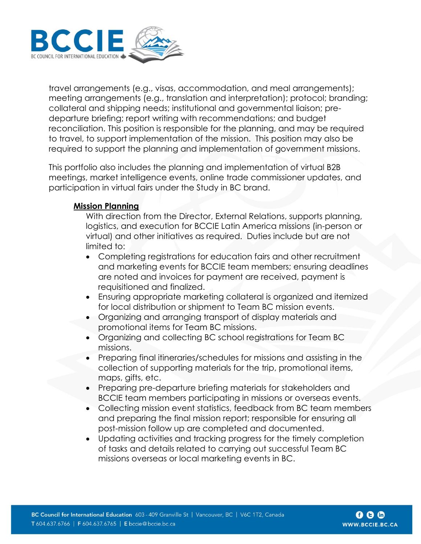

travel arrangements (e.g., visas, accommodation, and meal arrangements); meeting arrangements (e.g., translation and interpretation); protocol; branding; collateral and shipping needs; institutional and governmental liaison; predeparture briefing; report writing with recommendations; and budget reconciliation. This position is responsible for the planning, and may be required to travel, to support implementation of the mission. This position may also be required to support the planning and implementation of government missions.

This portfolio also includes the planning and implementation of virtual B2B meetings, market intelligence events, online trade commissioner updates, and participation in virtual fairs under the Study in BC brand.

### **Mission Planning**

With direction from the Director, External Relations, supports planning, logistics, and execution for BCCIE Latin America missions (in-person or virtual) and other initiatives as required. Duties include but are not limited to:

- Completing registrations for education fairs and other recruitment and marketing events for BCCIE team members; ensuring deadlines are noted and invoices for payment are received, payment is requisitioned and finalized.
- Ensuring appropriate marketing collateral is organized and itemized for local distribution or shipment to Team BC mission events.
- Organizing and arranging transport of display materials and promotional items for Team BC missions.
- Organizing and collecting BC school registrations for Team BC missions.
- Preparing final itineraries/schedules for missions and assisting in the collection of supporting materials for the trip, promotional items, maps, gifts, etc.
- Preparing pre-departure briefing materials for stakeholders and BCCIE team members participating in missions or overseas events.
- Collecting mission event statistics, feedback from BC team members and preparing the final mission report; responsible for ensuring all post-mission follow up are completed and documented.
- Updating activities and tracking progress for the timely completion of tasks and details related to carrying out successful Team BC missions overseas or local marketing events in BC.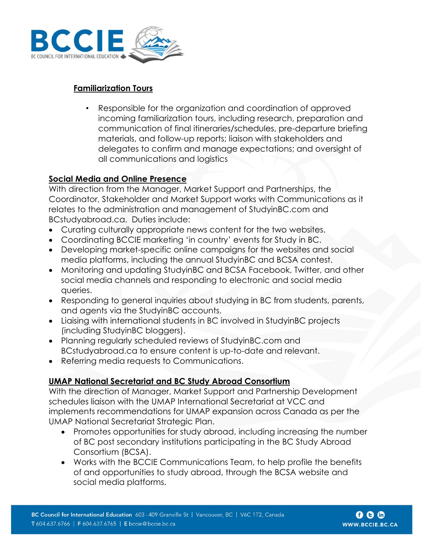

## **Familiarization Tours**

• Responsible for the organization and coordination of approved incoming familiarization tours, including research, preparation and communication of final itineraries/schedules, pre-departure briefing materials, and follow-up reports; liaison with stakeholders and delegates to confirm and manage expectations; and oversight of all communications and logistics

## **Social Media and Online Presence**

With direction from the Manager, Market Support and Partnerships, the Coordinator, Stakeholder and Market Support works with Communications as it relates to the administration and management of StudyinBC.com and BCstudyabroad.ca. Duties include:

- Curating culturally appropriate news content for the two websites.
- Coordinating BCCIE marketing 'in country' events for Study in BC.
- Developing market-specific online campaigns for the websites and social media platforms, including the annual StudyinBC and BCSA contest.
- Monitoring and updating StudyinBC and BCSA Facebook, Twitter, and other social media channels and responding to electronic and social media queries.
- Responding to general inquiries about studying in BC from students, parents, and agents via the StudyinBC accounts.
- Liaising with international students in BC involved in StudyinBC projects (including StudyinBC bloggers).
- Planning regularly scheduled reviews of StudyinBC.com and BCstudyabroad.ca to ensure content is up-to-date and relevant.
- Referring media requests to Communications.

# **UMAP National Secretariat and BC Study Abroad Consortium**

With the direction of Manager, Market Support and Partnership Development schedules liaison with the UMAP International Secretariat at VCC and implements recommendations for UMAP expansion across Canada as per the UMAP National Secretariat Strategic Plan.

- Promotes opportunities for study abroad, including increasing the number of BC post secondary institutions participating in the BC Study Abroad Consortium (BCSA).
- Works with the BCCIE Communications Team, to help profile the benefits of and opportunities to study abroad, through the BCSA website and social media platforms.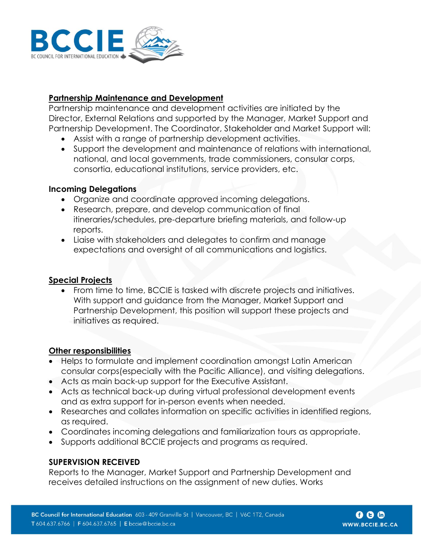

## **Partnership Maintenance and Development**

Partnership maintenance and development activities are initiated by the Director, External Relations and supported by the Manager, Market Support and Partnership Development. The Coordinator, Stakeholder and Market Support will:

- Assist with a range of partnership development activities.
- Support the development and maintenance of relations with international, national, and local governments, trade commissioners, consular corps, consortia, educational institutions, service providers, etc.

#### **Incoming Delegations**

- Organize and coordinate approved incoming delegations.
- Research, prepare, and develop communication of final itineraries/schedules, pre-departure briefing materials, and follow-up reports.
- Liaise with stakeholders and delegates to confirm and manage expectations and oversight of all communications and logistics.

### **Special Projects**

• From time to time, BCCIE is tasked with discrete projects and initiatives. With support and guidance from the Manager, Market Support and Partnership Development, this position will support these projects and initiatives as required.

### **Other responsibilities**

- Helps to formulate and implement coordination amongst Latin American consular corps(especially with the Pacific Alliance), and visiting delegations.
- Acts as main back-up support for the Executive Assistant.
- Acts as technical back-up during virtual professional development events and as extra support for in-person events when needed.
- Researches and collates information on specific activities in identified regions, as required.
- Coordinates incoming delegations and familiarization tours as appropriate.
- Supports additional BCCIE projects and programs as required.

### **SUPERVISION RECEIVED**

Reports to the Manager, Market Support and Partnership Development and receives detailed instructions on the assignment of new duties. Works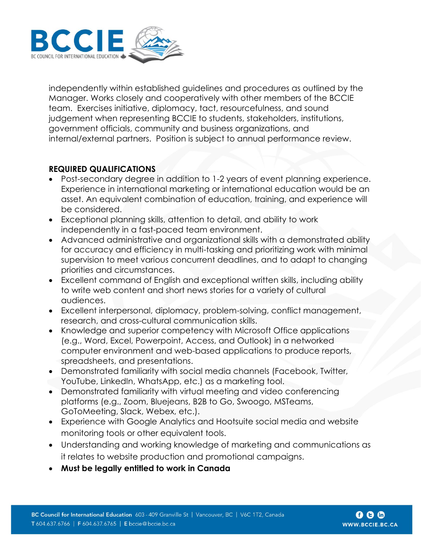

independently within established guidelines and procedures as outlined by the Manager. Works closely and cooperatively with other members of the BCCIE team. Exercises initiative, diplomacy, tact, resourcefulness, and sound judgement when representing BCCIE to students, stakeholders, institutions, government officials, community and business organizations, and internal/external partners. Position is subject to annual performance review.

### **REQUIRED QUALIFICATIONS**

- Post-secondary degree in addition to 1-2 years of event planning experience. Experience in international marketing or international education would be an asset. An equivalent combination of education, training, and experience will be considered.
- Exceptional planning skills, attention to detail, and ability to work independently in a fast-paced team environment.
- Advanced administrative and organizational skills with a demonstrated ability for accuracy and efficiency in multi-tasking and prioritizing work with minimal supervision to meet various concurrent deadlines, and to adapt to changing priorities and circumstances.
- Excellent command of English and exceptional written skills, including ability to write web content and short news stories for a variety of cultural audiences.
- Excellent interpersonal, diplomacy, problem-solving, conflict management, research, and cross-cultural communication skills.
- Knowledge and superior competency with Microsoft Office applications (e.g., Word, Excel, Powerpoint, Access, and Outlook) in a networked computer environment and web-based applications to produce reports, spreadsheets, and presentations.
- Demonstrated familiarity with social media channels (Facebook, Twitter, YouTube, LinkedIn, WhatsApp, etc.) as a marketing tool.
- Demonstrated familiarity with virtual meeting and video conferencing platforms (e.g., Zoom, Bluejeans, B2B to Go, Swoogo, MSTeams, GoToMeeting, Slack, Webex, etc.).
- Experience with Google Analytics and Hootsuite social media and website monitoring tools or other equivalent tools.
- Understanding and working knowledge of marketing and communications as it relates to website production and promotional campaigns.
- **Must be legally entitled to work in Canada**